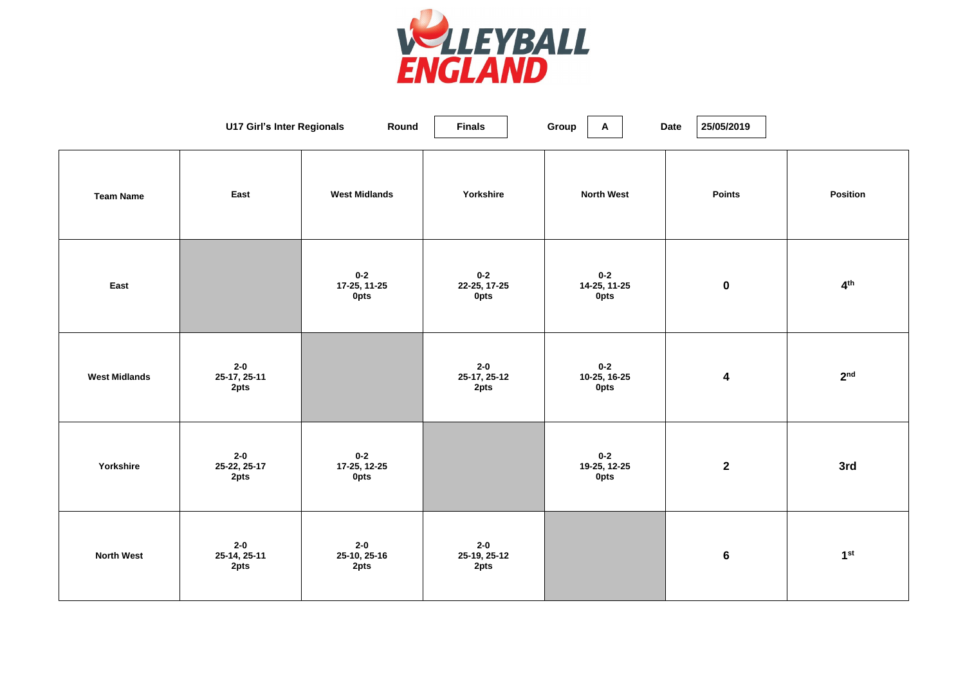

|                      | <b>U17 Girl's Inter Regionals</b> | Round                                  | <b>Finals</b>                          | Group<br>$\mathsf{A}$                  | 25/05/2019<br><b>Date</b> |                 |
|----------------------|-----------------------------------|----------------------------------------|----------------------------------------|----------------------------------------|---------------------------|-----------------|
| <b>Team Name</b>     | East                              | <b>West Midlands</b>                   | Yorkshire                              | <b>North West</b>                      | <b>Points</b>             | <b>Position</b> |
| East                 |                                   | $0 - 2$<br>17-25, 11-25<br><b>Opts</b> | $0 - 2$<br>22-25, 17-25<br><b>Opts</b> | $0 - 2$<br>14-25, 11-25<br><b>Opts</b> | $\mathbf 0$               | 4 <sup>th</sup> |
| <b>West Midlands</b> | $2 - 0$<br>25-17, 25-11<br>2pts   |                                        | $2 - 0$<br>25-17, 25-12<br>2pts        | $0 - 2$<br>10-25, 16-25<br><b>Opts</b> | 4                         | 2 <sup>nd</sup> |
| Yorkshire            | $2 - 0$<br>25-22, 25-17<br>2pts   | $0-2$<br>17-25, 12-25<br><b>Opts</b>   |                                        | $0 - 2$<br>19-25, 12-25<br><b>Opts</b> | $\mathbf{2}$              | 3rd             |
| <b>North West</b>    | $2 - 0$<br>25-14, 25-11<br>2pts   | $2 - 0$<br>25-10, 25-16<br>2pts        | $2 - 0$<br>25-19, 25-12<br>2pts        |                                        | $6\phantom{1}6$           | 1 <sup>st</sup> |

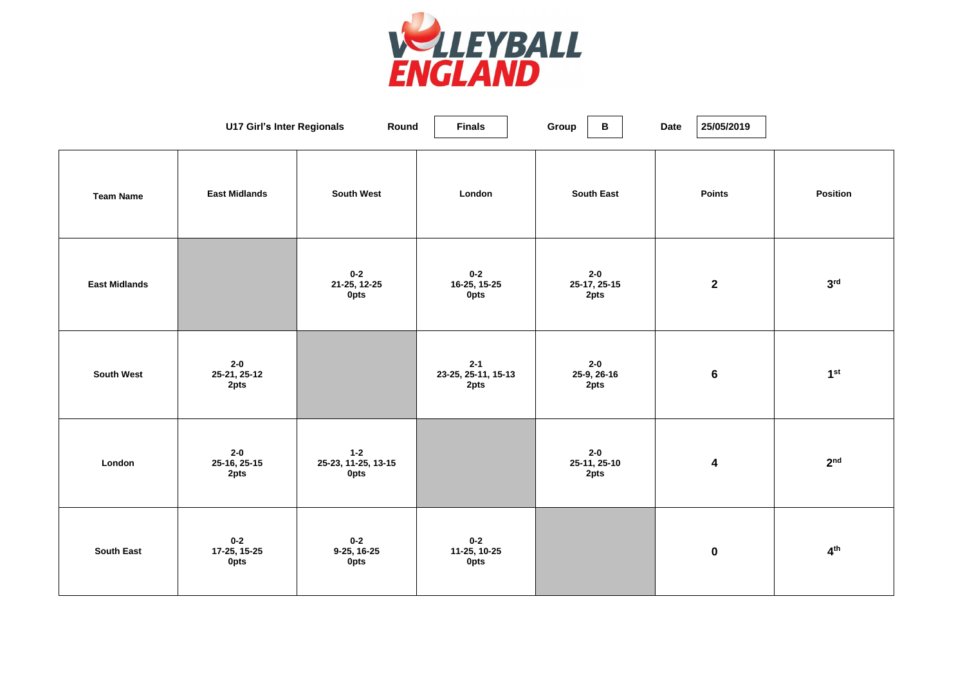

|                      | <b>U17 Girl's Inter Regionals</b>      | Round                                         | <b>Finals</b>                          | Group<br>B                      | <b>Date</b><br>25/05/2019 |                 |
|----------------------|----------------------------------------|-----------------------------------------------|----------------------------------------|---------------------------------|---------------------------|-----------------|
| <b>Team Name</b>     | <b>East Midlands</b>                   | <b>South West</b>                             | London                                 | <b>South East</b>               | <b>Points</b>             | <b>Position</b> |
| <b>East Midlands</b> |                                        | $0 - 2$<br>21-25, 12-25<br><b>Opts</b>        | $0 - 2$<br>16-25, 15-25<br><b>Opts</b> | $2 - 0$<br>25-17, 25-15<br>2pts | $\mathbf{2}$              | 3 <sup>rd</sup> |
| <b>South West</b>    | $2 - 0$<br>25-21, 25-12<br>2pts        |                                               | $2 - 1$<br>23-25, 25-11, 15-13<br>2pts | $2 - 0$<br>25-9, 26-16<br>2pts  | $6\phantom{1}$            | 1 <sup>st</sup> |
| London               | $2 - 0$<br>25-16, 25-15<br>2pts        | $1 - 2$<br>25-23, 11-25, 13-15<br><b>Opts</b> |                                        | $2 - 0$<br>25-11, 25-10<br>2pts | 4                         | 2 <sup>nd</sup> |
| <b>South East</b>    | $0 - 2$<br>17-25, 15-25<br><b>Opts</b> | $0 - 2$<br>9-25, 16-25<br><b>Opts</b>         | $0 - 2$<br>11-25, 10-25<br><b>Opts</b> |                                 | $\mathbf 0$               | 4 <sup>th</sup> |